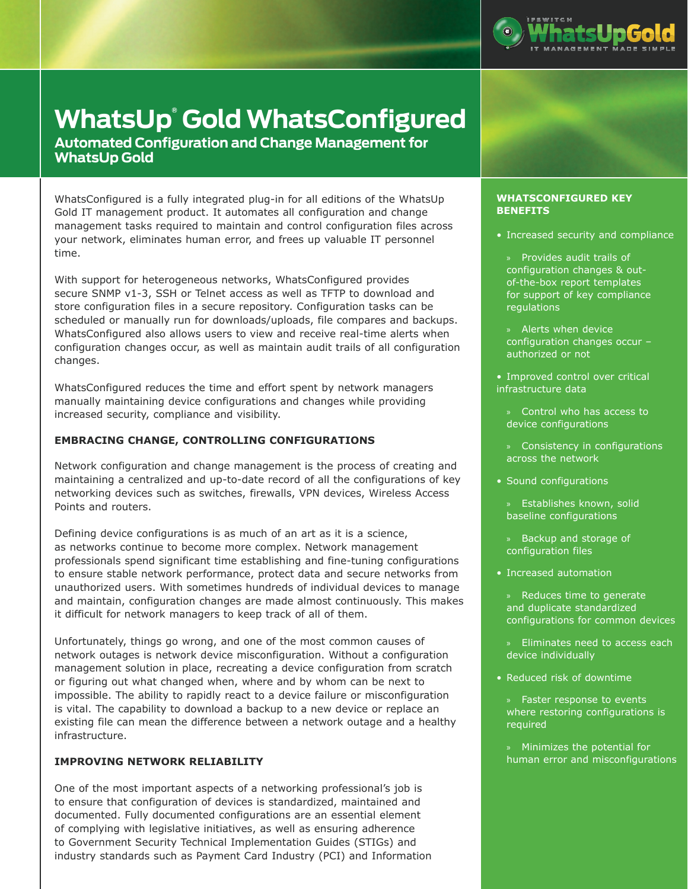

# **WhatsUp® Gold WhatsConfigured**

**Automated Configuration and Change Management for WhatsUp Gold**

WhatsConfigured is a fully integrated plug-in for all editions of the WhatsUp Gold IT management product. It automates all configuration and change management tasks required to maintain and control configuration files across your network, eliminates human error, and frees up valuable IT personnel time.

With support for heterogeneous networks, WhatsConfigured provides secure SNMP v1-3, SSH or Telnet access as well as TFTP to download and store configuration files in a secure repository. Configuration tasks can be scheduled or manually run for downloads/uploads, file compares and backups. WhatsConfigured also allows users to view and receive real-time alerts when configuration changes occur, as well as maintain audit trails of all configuration changes.

WhatsConfigured reduces the time and effort spent by network managers manually maintaining device configurations and changes while providing increased security, compliance and visibility.

# **EMBRACING CHANGE, CONTROLLING CONFIGURATIONS**

Network configuration and change management is the process of creating and maintaining a centralized and up-to-date record of all the configurations of key networking devices such as switches, firewalls, VPN devices, Wireless Access Points and routers.

Defining device configurations is as much of an art as it is a science, as networks continue to become more complex. Network management professionals spend significant time establishing and fine-tuning configurations to ensure stable network performance, protect data and secure networks from unauthorized users. With sometimes hundreds of individual devices to manage and maintain, configuration changes are made almost continuously. This makes it difficult for network managers to keep track of all of them.

Unfortunately, things go wrong, and one of the most common causes of network outages is network device misconfiguration. Without a configuration management solution in place, recreating a device configuration from scratch or figuring out what changed when, where and by whom can be next to impossible. The ability to rapidly react to a device failure or misconfiguration is vital. The capability to download a backup to a new device or replace an existing file can mean the difference between a network outage and a healthy infrastructure.

# **IMPROVING NETWORK RELIABILITY**

One of the most important aspects of a networking professional's job is to ensure that configuration of devices is standardized, maintained and documented. Fully documented configurations are an essential element of complying with legislative initiatives, as well as ensuring adherence to Government Security Technical Implementation Guides (STIGs) and industry standards such as Payment Card Industry (PCI) and Information

## **WHATSCONFIGURED KEY BENEFITS**

- Increased security and compliance
- » Provides audit trails of configuration changes & outof-the-box report templates for support of key compliance regulations
- » Alerts when device configuration changes occur – authorized or not
- Improved control over critical infrastructure data
	- » Control who has access to device configurations
- » Consistency in configurations across the network
- Sound configurations
	- » Establishes known, solid baseline configurations
	- » Backup and storage of configuration files
- Increased automation
	- » Reduces time to generate and duplicate standardized configurations for common devices
	- Eliminates need to access each device individually
- • Reduced risk of downtime
	- » Faster response to events where restoring configurations is required
	- » Minimizes the potential for human error and misconfigurations